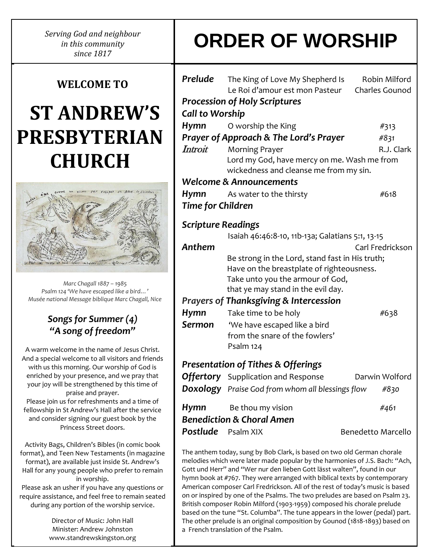*Serving God and neighbour in this community since 1817*

### **WELCOME TO**

## **ST ANDREW'S PRESBYTERIAN CHURCH**



*Marc Chagall 1887 – 1985 Psalm 124 'We have escaped like a bird…' Musée national Message biblique Marc Chagall, Nice*

### *Songs for Summer (4) "A song of freedom"*

A warm welcome in the name of Jesus Christ. And a special welcome to all visitors and friends with us this morning. Our worship of God is enriched by your presence, and we pray that your joy will be strengthened by this time of praise and prayer. Please join us for refreshments and a time of fellowship in St Andrew's Hall after the service and consider signing our guest book by the Princess Street doors.

Activity Bags, Children's Bibles (in comic book format), and Teen New Testaments (in magazine format), are available just inside St. Andrew's Hall for any young people who prefer to remain in worship.

Please ask an usher if you have any questions or require assistance, and feel free to remain seated during any portion of the worship service.

> Director of Music: John Hall Minister: Andrew Johnston www.standrewskingston.org

# **ORDER OF WORSHIP**

| Prelude<br><b>Call to Worship</b> | The King of Love My Shepherd Is<br>Le Roi d'amour est mon Pasteur<br><b>Procession of Holy Scriptures</b>                                                              | Robin Milford<br><b>Charles Gounod</b> |
|-----------------------------------|------------------------------------------------------------------------------------------------------------------------------------------------------------------------|----------------------------------------|
| Hymn                              | O worship the King                                                                                                                                                     | #313                                   |
|                                   | <b>Prayer of Approach &amp; The Lord's Prayer</b>                                                                                                                      | #831                                   |
| Introit                           | <b>Morning Prayer</b>                                                                                                                                                  | R.J. Clark                             |
|                                   | Lord my God, have mercy on me. Wash me from<br>wickedness and cleanse me from my sin.                                                                                  |                                        |
|                                   | <b>Welcome &amp; Announcements</b>                                                                                                                                     |                                        |
| Hymn                              | As water to the thirsty                                                                                                                                                | #618                                   |
| <b>Time for Children</b>          |                                                                                                                                                                        |                                        |
| <b>Scripture Readings</b>         |                                                                                                                                                                        |                                        |
|                                   | Isaiah 46:46:8-10, 11b-13a; Galatians 5:1, 13-15                                                                                                                       |                                        |
| Anthem                            |                                                                                                                                                                        | Carl Fredrickson                       |
|                                   | Be strong in the Lord, stand fast in His truth;<br>Have on the breastplate of righteousness.<br>Take unto you the armour of God,<br>that ye may stand in the evil day. |                                        |
|                                   |                                                                                                                                                                        |                                        |
|                                   | <b>Prayers of Thanksgiving &amp; Intercession</b>                                                                                                                      |                                        |
| Hymn                              | Take time to be holy                                                                                                                                                   | #638                                   |
| Sermon                            | 'We have escaped like a bird                                                                                                                                           |                                        |
|                                   | from the snare of the fowlers'                                                                                                                                         |                                        |
|                                   | Psalm 124                                                                                                                                                              |                                        |
|                                   | <b>Presentation of Tithes &amp; Offerings</b>                                                                                                                          |                                        |
|                                   | <b>Offertory</b> Supplication and Response                                                                                                                             | Darwin Wolford                         |
|                                   | <b>Doxology</b> Praise God from whom all blessings flow                                                                                                                | #830                                   |
| Hymn                              | Be thou my vision                                                                                                                                                      | #461                                   |
|                                   | <b>Benediction &amp; Choral Amen</b>                                                                                                                                   |                                        |

The anthem today, sung by Bob Clark, is based on two old German chorale melodies which were later made popular by the harmonies of J.S. Bach: "Ach, Gott und Herr" and "Wer nur den lieben Gott lässt walten", found in our hymn book at #767. They were arranged with biblical texts by contemporary American composer Carl Fredrickson. All of the rest of today's music is based on or inspired by one of the Psalms. The two preludes are based on Psalm 23. British composer Robin Milford (1903-1959) composed his chorale prelude based on the tune "St. Columba". The tune appears in the lower (pedal) part. The other prelude is an original composition by Gounod (1818-1893) based on a French translation of the Psalm.